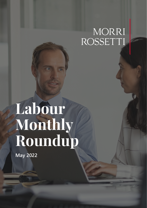# MORRI<br>ROSSETTI

## **Labour Monthly Roundup**

**May 2022**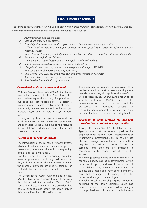#### **LABOUR MONTHLY ROUNDUP**

*The Firm's Labour Monthly Roundup selects some of the most important clarifications on new practices and law cases of the current month that are relevant to the following subjects:*

- *1. Apprenticeship: distance training;*
- *2. "Bonus Bebè" for non-EU citizens;*
- *3. Taxability of sums received for damages caused by loss of professional opportunities;*
- *4. Self-employed workers and employees enrolled in INPS Special Fund: extension of maternity and paternity leaves;*
- *5. New "clearance" for entry into Italy of non-EU workers operating remotely (so-called digital nomads);*
- *6. Executive's good faith and fairness;*
- *7. Site Manager's scope of responsibility in the field of safety of workers;*
- *8. Riders: subordinate nature of the employment relationship;*
- *9. "Simplified"* smart-working *communication regime until August, 31st 2022;*
- *10. Anti-covid protocol in force until June, 30th 2022;*
- *11. "Aid Decree": 200 Euros for employees, self-employed workers and retirees;*
- *12. Agency workers* temporary regime extension*s;*
- *13. Post Covid online validation of resignation.*

#### *Apprenticeship: distance training allowed*

With its Circular letter no. 2/2022, the Italian National Inspectorate of Labour (*INL*) allowed the use of e-learning for the training of apprentices.

*INL* specified that "e-learning" is a distance learning model characterized by forms of remote interactivity between learners and teachers and/or e-tutors and/or other learners, in a synchronous mode.

Training is only allowed in synchronous mode, so it will be necessary that trainers and apprentices are connected at the same time to the relevant digital platforms, which can detect the actual presence of the latter.

#### *"***Bonus Bebè***" for non-EU citizens*

The introduction of the so-called "*Assegno Unico*", which replaced a series of measures in support of parenthood, determined the end of the granting of the so-called "*Bonus Bebè*".

Non-EU citizens had been previously excluded from the possibility of obtaining said bonus, but they will now have the chance of being granted the monthly allowance assigned to families for each child born, adopted or in pre-adoptive foster care.

The Constitutional Court (with the decision no. 54/2022) has declared unconstitutional the rules that introduced the so-called "*Bonus Bebè*" concerning the part in which it was provided that non-EU citizens could obtain the bonus only if they held a long-term EU resident permit.

Therefore, non-EU citizens in possession of a residence permit for work or research lasting more than six months may also apply for the benefit.

With its Message, no. 1562/2022, the Italian social security institution (*INPS*) clarified the requirements for obtaining the bonus and the procedures for submitting requests for reconsideration of applications rejected based on the limit that has now been declared illegitimate.

#### *Taxability of sums received for damages caused by loss of professional opportunities*

Through its note no. 185/2022, the Italian Revenue Agency stated that the amounts paid to the employee following the Court's ascertainment of impairment of professional skills (so-called " loss of chance damages ") are not taxable because they may be construed as "damages for loss of earnings" and, therefore, are intended to compensate for the economic loss suffered by the worker.

The damage caused by the demotion can have an economic nature, such as impoverishment of the professional capacity and loss of chances as well as possibility of gain, or a non-economic one, such as possible damage to psycho-physical integrity, existential damage and damage to the professional image of the employee.

The Italian Fiscal Agency, aligning with numerous decisions of the Italian Supreme Court, has therefore restated that the sums paid for damages to the professional skills are not taxable because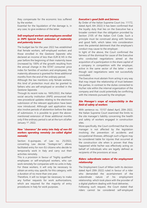they compensate for the economic loss suffered by the worker.

Essential for the liquidation of the damage is, in any case, to give evidence of the latter.

#### *Self-employed workers and employees enrolled in INPS Special Fund: extension of maternity and paternity leaves*

The budget law for the year 2022 has established that female workers, self-employed workers and those enrolled in the *Gestione Separata* who declared an income of less than EUR 8,145 in the year before the beginning of their maternity leave (increased by 100% of the growth resulting from the annual change in the ISTAT consumer price index for families of workers and employees), the maternity allowance is granted for three additional months from the end of the ordinary period.

Although the law mentions only female workers, this kind of protection must also be granted to fathers who are self-employed or enrolled in the *Gestione Separata*.

Through its recent note no. 1605/2022, the Italian social security institution (*INPS*) announced that new procedural updates relating to the electronic submission of the relevant application have been now introduced. Although said application may also involve periods of abstention before the date of submission, it is possible to grant the abovementioned extension of three additional months only if the ordinary period is set at the turn of/after January 1st, 2022.

#### *New "clearance" for entry into Italy of non-EU workers operating remotely (so-called digital nomads)*

Section 6-*quinquies*, of Law no. 25/2022, converting Law decree "*Sostegni-ter*", allows facilitated entry for non-EU citizens who decide to temporarily work in Italy and carry out their activities remotely.

This is a provision in favour of "highly qualified" employees or self-employed workers, who can work remotely for companies with no units in Italy. For these workers, it will only be necessary to obtain an entry visa, specific for this category, with a duration of no more than one year.

Therefore, it will no longer be necessary to make any further requests for work authorizations, which are required for the majority of entry procedures in Italy for work purposes.

#### *Executive's good faith and fairness*

By Order of the Italian Supreme Court (no. 11172, dated April, 6th 2022) it has been confirmed that the loyalty duty that lies on the Executive has a broader content than the obligation provided by Section 2105 of the Italian Civil Code. Such a principle must be construed along with fairness and good faith, which takes into consideration even the potential detriment that the employee's conduct may cause to the employer.

In light of the above, the Court confirmed the fairness of the dismissal for cause of the Executive who conducted negotiations aimed at the acquisition of a participation in the share capital of a company in competition with the employer, active in the same sector of the latter – even though said negotiations were not successfully concluded.

The Executive must abstain from acting in any way that may impair the relationship of trust between the parties, in contrast to the duties connected to his/her role within the internal organization of the company and that could potentially be conflicting with the interests pursued by the employer.

#### *Site Manager's scope of responsibility in the field of safety of workers*

With sentence no. 15157 dated April, 20th 2022, the Italian Supreme Court examined the limits to the site manager's liability concerning the health and safety of workers engaged in construction sites.

More specifically, the Court confirmed that the site manager is not affected by the legislation involving the prevention of accidents and occupational illnesses, although such a figure may be considered liable for injuries that occurred at the construction site when is proven that they happened while he/her was effectively acting on behalf of individuals who are legally defined as recipients of the provisions at issue.

#### *Riders: subordinate nature of the employment relationship*

The Employment Court of Milan (with its decision dated April 20th 2022) ruled in favour of a rider who demanded the ascertainment of the subordinate nature of his employment relationship, which took place with the provider of a digital platform dealing with food deliveries. Following such request, the Court stated that riders cannot be considered self-employed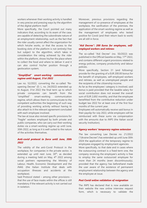workers whenever their working activity is handled in very precise and pressing ways by the algorithm of the digital platform itself.

More specifically, the Court pointed out many indicators that, according to its exam of the case, are capable of detecting the subordinate nature of an employment relationship, such as the fact that the rider usually cannot affect the organization for which he\she works, or that the access to the booking slots of the platform is not (entirely) free but subject to the algorithm, which takes in consideration the rating achieved by the rider within the platform, shows his/her the place where to collect the food and where to deliver it and it can also control his/her position through a geolocation system.

#### *"Simplified" smart-working communication regime until August, 31st 2022*

Law no. 52/2022, converting the so-called "Reopening Decree" (D. L. no. 24/2022) extended up to August, 31st 2022 the final term up to which private companies can benefit from the "simplified" smart-working communication regime, which allows them to communicate to the competent authorities the beginning of such way of providing working activity without having to also attach to it the relevant agreement concluded with each employee involved.

The law at issue also revived specific provisions for "fragile" workers employed by both private and public companies, who can carry out their working duties via a smart-working regime up until June, 30th 2022, as long as it is well-suited to the nature of the activities themselves.

#### *Anti-covid protocol in force until June, 30th 2022*

The validity of the anti-Covid Protocol in the workplace, for companies in the private sector, is extended up until next June, 30<sup>th</sup>, as decided during a meeting held on May, 4<sup>th</sup> 2022 among social partners representing the Ministry of Labour, Health, Economic Development and the *INAIL* (the Italian Institute that deals with occupation illnesses and accidents at the workplace).

Said Protocol stated – among other provisions – that the use of face masks within the offices is still mandatory if the relevant activity is not carried out in isolation.

Moreover, previous provisions regarding the management of co-presence of employees at the workplace, the sanification of the premises, the application of the smart-working regime as well as the management of employees who tested positive for Covid (and their return back to work) are all still in force.

#### *"Aid Decree": 200 Euros for employees, selfemployed workers and retirees*

The so-called "Aid Decree" (no. 50/2022) was published in the Official Gazette on May, 17<sup>th</sup> 2022, and contains different urgent provisions related to energy policies, company productivity and labour policies.

More specifically, Section 31 (and following) provide for the granting of a EUR 200.00 bonus for the benefit of employees, self-employed workers and retirees, as well as unemployed people and the recipients of the citizenship income.

As far as the employees' category is involved, said bonus is paid provided that the taxable salary for social contribution does not exceed the overall sum of EUR 2,692 monthly, and that the employee benefitted from the contributive reduction under budget law 2022 for at least one of the first four months of the current year.

Employees will automatically receive said bonus in their payslip for July 2022, while employers will be reimbursed with these sums via compensation with the amounts due to *INPS* (the Italian social security Institution).

#### *Agency workers' temporary regime extension*

The law converting Law Decree no. 21/2022 ("Ukraine Decree") has extended up until June 30th 2024 the application of the temporary regime to employees engaged by employment agencies. More specifically, to that date and in cases where the outsourcing contract is a fixed-term one, the company receiving the employee's activity is free to employ the same outsourced employee for more than 24 months (even discontinuously), provided that the agency has beforehand made the user aware of the existence of permanent employment relationship between the agency and the employee at issue.

#### *Post Covid online validation of resignation*

The *INPS* has declared that is now available on their website the new online interview request form, which is necessary to validate the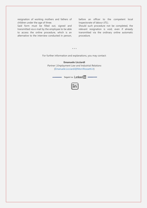resignation of working mothers and fathers of children under the age of three.

Said form must be filled out, signed and transmitted via e-mail by the employee to be able to access the online procedure, which is an alternative to the interview conducted in person,

before an officer to the competent local Inspectorate of labour (*ITL*).

Should such procedure not be completed, the relevant resignation is void, even if already transmitted via the ordinary online automatic procedure.

\* \* \*

For further information and explanations, you may contact:

#### **Emanuele Licciardi**

*Partner | Employment Law and Industrial Relations* [\(Emanuele.Licciardi@MorriRossetti.it\)](mailto:Emanuele.Licciardi@MorriRossetti.it)

Seguici su **Linked M**